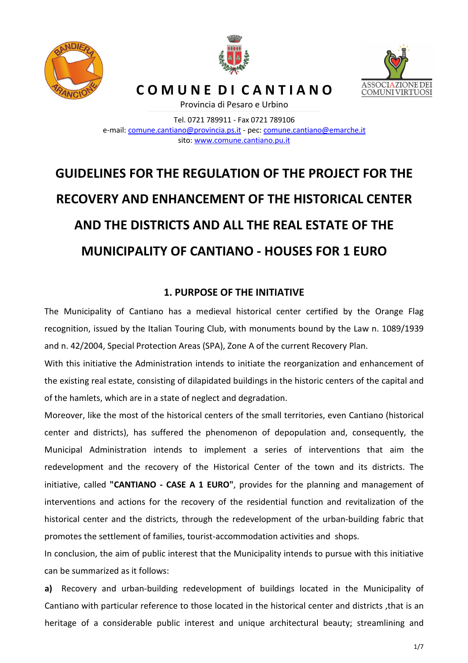





**C O M U N E D I C A N T I A N O**

Provincia di Pesaro e Urbino

Tel. 0721 789911 - Fax 0721 789106 e-mail: comune.cantiano@provincia.ps.it - pec: comune.cantiano@emarche.it sito: www.comune.cantiano.pu.it

# **GUIDELINES FOR THE REGULATION OF THE PROJECT FOR THE RECOVERY AND ENHANCEMENT OF THE HISTORICAL CENTER AND THE DISTRICTS AND ALL THE REAL ESTATE OF THE MUNICIPALITY OF CANTIANO - HOUSES FOR 1 EURO**

# **1. PURPOSE OF THE INITIATIVE**

The Municipality of Cantiano has a medieval historical center certified by the Orange Flag recognition, issued by the Italian Touring Club, with monuments bound by the Law n. 1089/1939 and n. 42/2004, Special Protection Areas (SPA), Zone A of the current Recovery Plan.

With this initiative the Administration intends to initiate the reorganization and enhancement of the existing real estate, consisting of dilapidated buildings in the historic centers of the capital and of the hamlets, which are in a state of neglect and degradation.

Moreover, like the most of the historical centers of the small territories, even Cantiano (historical center and districts), has suffered the phenomenon of depopulation and, consequently, the Municipal Administration intends to implement a series of interventions that aim the redevelopment and the recovery of the Historical Center of the town and its districts. The initiative, called **"CANTIANO - CASE A 1 EURO"**, provides for the planning and management of interventions and actions for the recovery of the residential function and revitalization of the historical center and the districts, through the redevelopment of the urban-building fabric that promotes the settlement of families, tourist-accommodation activities and shops.

In conclusion, the aim of public interest that the Municipality intends to pursue with this initiative can be summarized as it follows:

**a)** Recovery and urban-building redevelopment of buildings located in the Municipality of Cantiano with particular reference to those located in the historical center and districts ,that is an heritage of a considerable public interest and unique architectural beauty; streamlining and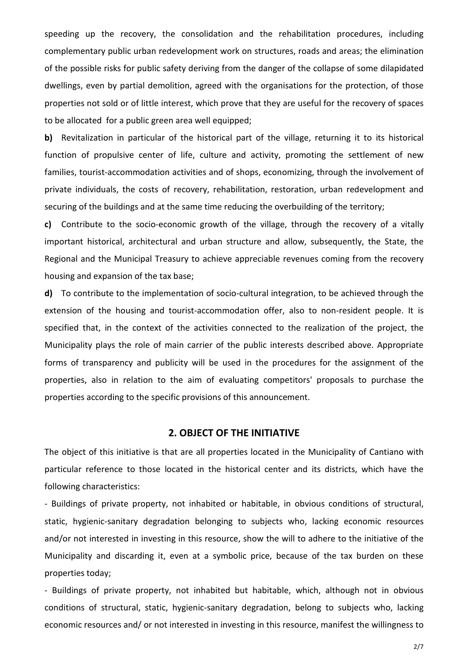speeding up the recovery, the consolidation and the rehabilitation procedures, including complementary public urban redevelopment work on structures, roads and areas; the elimination of the possible risks for public safety deriving from the danger of the collapse of some dilapidated dwellings, even by partial demolition, agreed with the organisations for the protection, of those properties not sold or of little interest, which prove that they are useful for the recovery of spaces to be allocated for a public green area well equipped;

**b)** Revitalization in particular of the historical part of the village, returning it to its historical function of propulsive center of life, culture and activity, promoting the settlement of new families, tourist-accommodation activities and of shops, economizing, through the involvement of private individuals, the costs of recovery, rehabilitation, restoration, urban redevelopment and securing of the buildings and at the same time reducing the overbuilding of the territory;

**c)** Contribute to the socio-economic growth of the village, through the recovery of a vitally important historical, architectural and urban structure and allow, subsequently, the State, the Regional and the Municipal Treasury to achieve appreciable revenues coming from the recovery housing and expansion of the tax base;

**d)** To contribute to the implementation of socio-cultural integration, to be achieved through the extension of the housing and tourist-accommodation offer, also to non-resident people. It is specified that, in the context of the activities connected to the realization of the project, the Municipality plays the role of main carrier of the public interests described above. Appropriate forms of transparency and publicity will be used in the procedures for the assignment of the properties, also in relation to the aim of evaluating competitors' proposals to purchase the properties according to the specific provisions of this announcement.

## **2. OBJECT OF THE INITIATIVE**

The object of this initiative is that are all properties located in the Municipality of Cantiano with particular reference to those located in the historical center and its districts, which have the following characteristics:

- Buildings of private property, not inhabited or habitable, in obvious conditions of structural, static, hygienic-sanitary degradation belonging to subjects who, lacking economic resources and/or not interested in investing in this resource, show the will to adhere to the initiative of the Municipality and discarding it, even at a symbolic price, because of the tax burden on these properties today;

- Buildings of private property, not inhabited but habitable, which, although not in obvious conditions of structural, static, hygienic-sanitary degradation, belong to subjects who, lacking economic resources and/ or not interested in investing in this resource, manifest the willingness to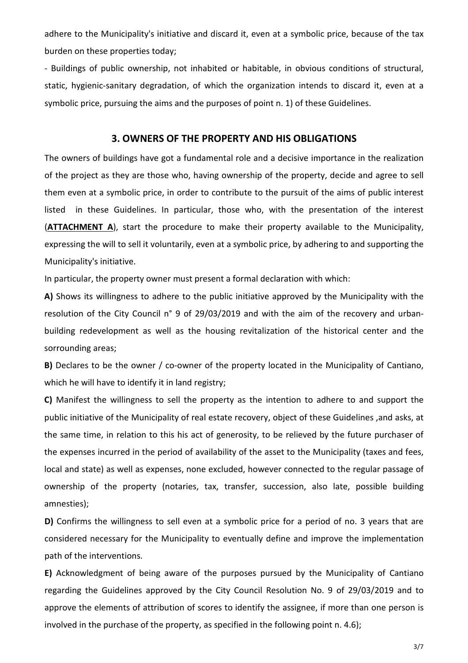adhere to the Municipality's initiative and discard it, even at a symbolic price, because of the tax burden on these properties today;

- Buildings of public ownership, not inhabited or habitable, in obvious conditions of structural, static, hygienic-sanitary degradation, of which the organization intends to discard it, even at a symbolic price, pursuing the aims and the purposes of point n. 1) of these Guidelines.

## **3. OWNERS OF THE PROPERTY AND HIS OBLIGATIONS**

The owners of buildings have got a fundamental role and a decisive importance in the realization of the project as they are those who, having ownership of the property, decide and agree to sell them even at a symbolic price, in order to contribute to the pursuit of the aims of public interest listed in these Guidelines. In particular, those who, with the presentation of the interest (**ATTACHMENT A**), start the procedure to make their property available to the Municipality, expressing the will to sell it voluntarily, even at a symbolic price, by adhering to and supporting the Municipality's initiative.

In particular, the property owner must present a formal declaration with which:

**A)** Shows its willingness to adhere to the public initiative approved by the Municipality with the resolution of the City Council n° 9 of 29/03/2019 and with the aim of the recovery and urbanbuilding redevelopment as well as the housing revitalization of the historical center and the sorrounding areas;

**B)** Declares to be the owner / co-owner of the property located in the Municipality of Cantiano, which he will have to identify it in land registry;

**C)** Manifest the willingness to sell the property as the intention to adhere to and support the public initiative of the Municipality of real estate recovery, object of these Guidelines ,and asks, at the same time, in relation to this his act of generosity, to be relieved by the future purchaser of the expenses incurred in the period of availability of the asset to the Municipality (taxes and fees, local and state) as well as expenses, none excluded, however connected to the regular passage of ownership of the property (notaries, tax, transfer, succession, also late, possible building amnesties);

**D)** Confirms the willingness to sell even at a symbolic price for a period of no. 3 years that are considered necessary for the Municipality to eventually define and improve the implementation path of the interventions.

**E)** Acknowledgment of being aware of the purposes pursued by the Municipality of Cantiano regarding the Guidelines approved by the City Council Resolution No. 9 of 29/03/2019 and to approve the elements of attribution of scores to identify the assignee, if more than one person is involved in the purchase of the property, as specified in the following point n. 4.6);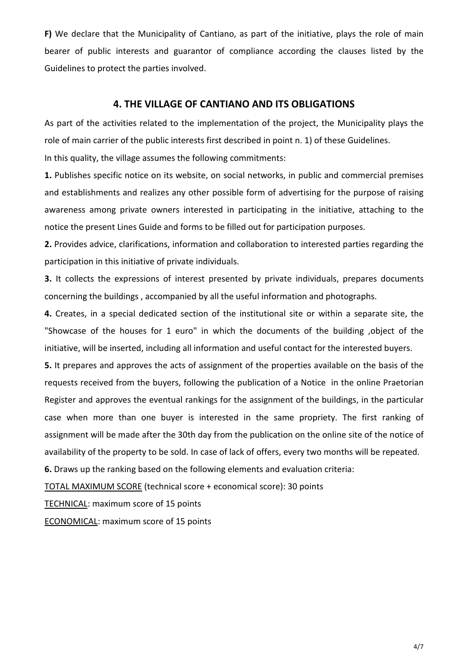**F)** We declare that the Municipality of Cantiano, as part of the initiative, plays the role of main bearer of public interests and guarantor of compliance according the clauses listed by the Guidelines to protect the parties involved.

# **4. THE VILLAGE OF CANTIANO AND ITS OBLIGATIONS**

As part of the activities related to the implementation of the project, the Municipality plays the role of main carrier of the public interests first described in point n. 1) of these Guidelines.

In this quality, the village assumes the following commitments:

**1.** Publishes specific notice on its website, on social networks, in public and commercial premises and establishments and realizes any other possible form of advertising for the purpose of raising awareness among private owners interested in participating in the initiative, attaching to the notice the present Lines Guide and forms to be filled out for participation purposes.

**2.** Provides advice, clarifications, information and collaboration to interested parties regarding the participation in this initiative of private individuals.

**3.** It collects the expressions of interest presented by private individuals, prepares documents concerning the buildings , accompanied by all the useful information and photographs.

**4.** Creates, in a special dedicated section of the institutional site or within a separate site, the "Showcase of the houses for 1 euro" in which the documents of the building ,object of the initiative, will be inserted, including all information and useful contact for the interested buyers.

**5.** It prepares and approves the acts of assignment of the properties available on the basis of the requests received from the buyers, following the publication of a Notice in the online Praetorian Register and approves the eventual rankings for the assignment of the buildings, in the particular case when more than one buyer is interested in the same propriety. The first ranking of assignment will be made after the 30th day from the publication on the online site of the notice of availability of the property to be sold. In case of lack of offers, every two months will be repeated.

**6.** Draws up the ranking based on the following elements and evaluation criteria:

TOTAL MAXIMUM SCORE (technical score + economical score): 30 points

TECHNICAL: maximum score of 15 points

ECONOMICAL: maximum score of 15 points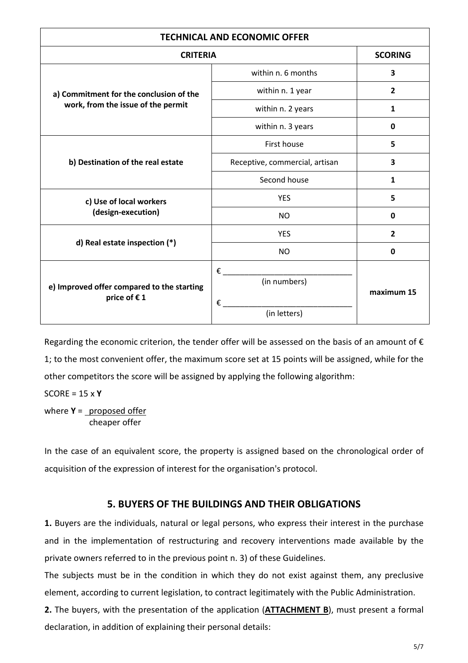| <b>TECHNICAL AND ECONOMIC OFFER</b>                                           |                                        |                |
|-------------------------------------------------------------------------------|----------------------------------------|----------------|
| <b>CRITERIA</b>                                                               |                                        | <b>SCORING</b> |
| a) Commitment for the conclusion of the<br>work, from the issue of the permit | within n. 6 months                     | 3              |
|                                                                               | within n. 1 year                       | $\overline{2}$ |
|                                                                               | within n. 2 years                      | $\mathbf{1}$   |
|                                                                               | within n. 3 years                      | $\mathbf 0$    |
| b) Destination of the real estate                                             | First house                            | 5              |
|                                                                               | Receptive, commercial, artisan         | 3              |
|                                                                               | Second house                           | 1              |
| c) Use of local workers<br>(design-execution)                                 | <b>YES</b>                             | 5              |
|                                                                               | <b>NO</b>                              | 0              |
| d) Real estate inspection (*)                                                 | <b>YES</b>                             | $\overline{2}$ |
|                                                                               | <b>NO</b>                              | 0              |
| e) Improved offer compared to the starting<br>price of €1                     | €<br>(in numbers)<br>€<br>(in letters) | maximum 15     |

Regarding the economic criterion, the tender offer will be assessed on the basis of an amount of  $\epsilon$ 1; to the most convenient offer, the maximum score set at 15 points will be assigned, while for the other competitors the score will be assigned by applying the following algorithm:

SCORE = 15 x **Y**

where **Y** = proposed offer cheaper offer

In the case of an equivalent score, the property is assigned based on the chronological order of acquisition of the expression of interest for the organisation's protocol.

# **5. BUYERS OF THE BUILDINGS AND THEIR OBLIGATIONS**

**1.** Buyers are the individuals, natural or legal persons, who express their interest in the purchase and in the implementation of restructuring and recovery interventions made available by the private owners referred to in the previous point n. 3) of these Guidelines.

The subjects must be in the condition in which they do not exist against them, any preclusive element, according to current legislation, to contract legitimately with the Public Administration.

**2.** The buyers, with the presentation of the application (**ATTACHMENT B**), must present a formal declaration, in addition of explaining their personal details: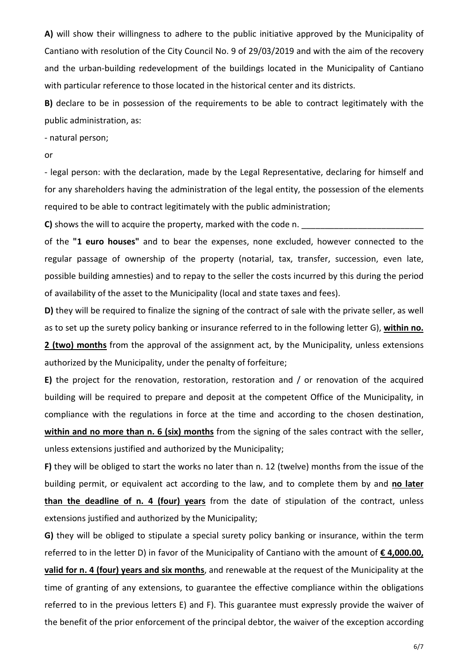**A)** will show their willingness to adhere to the public initiative approved by the Municipality of Cantiano with resolution of the City Council No. 9 of 29/03/2019 and with the aim of the recovery and the urban-building redevelopment of the buildings located in the Municipality of Cantiano with particular reference to those located in the historical center and its districts.

**B)** declare to be in possession of the requirements to be able to contract legitimately with the public administration, as:

- natural person;

#### or

- legal person: with the declaration, made by the Legal Representative, declaring for himself and for any shareholders having the administration of the legal entity, the possession of the elements required to be able to contract legitimately with the public administration;

**C**) shows the will to acquire the property, marked with the code n.

of the **"1 euro houses"** and to bear the expenses, none excluded, however connected to the regular passage of ownership of the property (notarial, tax, transfer, succession, even late, possible building amnesties) and to repay to the seller the costs incurred by this during the period of availability of the asset to the Municipality (local and state taxes and fees).

**D)** they will be required to finalize the signing of the contract of sale with the private seller, as well as to set up the surety policy banking or insurance referred to in the following letter G), **within no. 2 (two) months** from the approval of the assignment act, by the Municipality, unless extensions authorized by the Municipality, under the penalty of forfeiture;

**E)** the project for the renovation, restoration, restoration and / or renovation of the acquired building will be required to prepare and deposit at the competent Office of the Municipality, in compliance with the regulations in force at the time and according to the chosen destination, **within and no more than n. 6 (six) months** from the signing of the sales contract with the seller, unless extensions justified and authorized by the Municipality;

**F)** they will be obliged to start the works no later than n. 12 (twelve) months from the issue of the building permit, or equivalent act according to the law, and to complete them by and **no later than the deadline of n. 4 (four) years** from the date of stipulation of the contract, unless extensions justified and authorized by the Municipality;

**G)** they will be obliged to stipulate a special surety policy banking or insurance, within the term referred to in the letter D) in favor of the Municipality of Cantiano with the amount of **€ 4,000.00, valid for n. 4 (four) years and six months**, and renewable at the request of the Municipality at the time of granting of any extensions, to guarantee the effective compliance within the obligations referred to in the previous letters E) and F). This guarantee must expressly provide the waiver of the benefit of the prior enforcement of the principal debtor, the waiver of the exception according